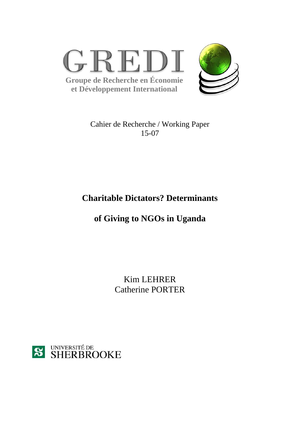



Cahier de Recherche / Working Paper 15-07

## **Charitable Dictators? Determinants**

# **of Giving to NGOs in Uganda**

Kim LEHRER Catherine PORTER

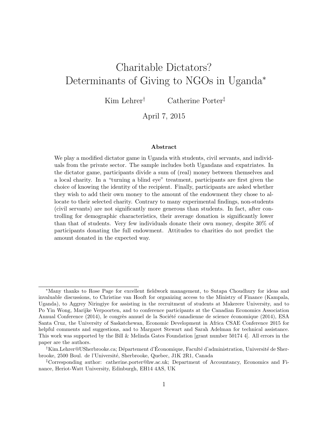# Charitable Dictators? Determinants of Giving to NGOs in Uganda<sup>∗</sup>

Kim Lehrer† Catherine Porter‡

April 7, 2015

#### Abstract

We play a modified dictator game in Uganda with students, civil servants, and individuals from the private sector. The sample includes both Ugandans and expatriates. In the dictator game, participants divide a sum of (real) money between themselves and a local charity. In a "turning a blind eye" treatment, participants are first given the choice of knowing the identity of the recipient. Finally, participants are asked whether they wish to add their own money to the amount of the endowment they chose to allocate to their selected charity. Contrary to many experimental findings, non-students (civil servants) are not significantly more generous than students. In fact, after controlling for demographic characteristics, their average donation is significantly lower than that of students. Very few individuals donate their own money, despite 30% of participants donating the full endowment. Attitudes to charities do not predict the amount donated in the expected way.

<sup>∗</sup>Many thanks to Rose Page for excellent fieldwork management, to Sutapa Choudhury for ideas and invaluable discussions, to Christine van Hooft for organizing access to the Ministry of Finance (Kampala, Uganda), to Aggrey Niringiye for assisting in the recruitment of students at Makerere University, and to Po Yin Wong, Marijke Verpoorten, and to conference participants at the Canadian Economics Association Annual Conference (2014), le congrès annuel de la Société canadienne de science économique (2014), ESA Santa Cruz, the University of Saskatchewan, Economic Development in Africa CSAE Conference 2015 for helpful comments and suggestions, and to Margaret Stewart and Sarah Adelman for technical assistance. This work was supported by the Bill & Melinda Gates Foundation [grant number 50174 4]. All errors in the paper are the authors.

 $^{\dagger}$ Kim.Lehrer@USherbrooke.ca; Département d'Économique, Faculté d'administration, Université de Sherbrooke, 2500 Boul. de l'Universit´e, Sherbrooke, Quebec, J1K 2R1, Canada

<sup>‡</sup>Corresponding author: catherine.porter@hw.ac.uk; Department of Accountancy, Economics and Finance, Heriot-Watt University, Edinburgh, EH14 4AS, UK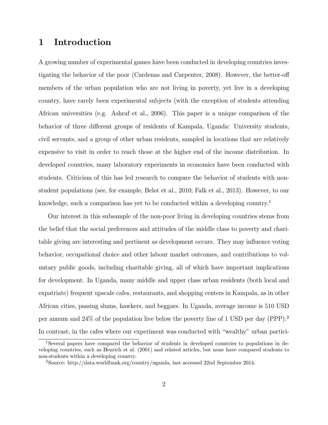## 1 Introduction

A growing number of experimental games have been conducted in developing countries investigating the behavior of the poor (Cardenas and Carpenter, 2008). However, the better-off members of the urban population who are not living in poverty, yet live in a developing country, have rarely been experimental subjects (with the exception of students attending African universities (e.g. Ashraf et al., 2006). This paper is a unique comparison of the behavior of three different groups of residents of Kampala, Uganda: University students, civil servants, and a group of other urban residents, sampled in locations that are relatively expensive to visit in order to reach those at the higher end of the income distribution. In developed countries, many laboratory experiments in economics have been conducted with students. Criticism of this has led research to compare the behavior of students with nonstudent populations (see, for example, Belot et al., 2010; Falk et al., 2013). However, to our knowledge, such a comparison has yet to be conducted within a developing country.<sup>1</sup>

Our interest in this subsample of the non-poor living in developing countries stems from the belief that the social preferences and attitudes of the middle class to poverty and charitable giving are interesting and pertinent as development occurs. They may influence voting behavior, occupational choice and other labour market outcomes, and contributions to voluntary public goods, including charitable giving, all of which have important implications for development. In Uganda, many middle and upper class urban residents (both local and expatriate) frequent upscale cafes, restaurants, and shopping centers in Kampala, as in other African cities, passing slums, hawkers, and beggars. In Uganda, average income is 510 USD per annum and 24% of the population live below the poverty line of 1 USD per day (PPP).<sup>2</sup> In contrast, in the cafes where our experiment was conducted with "wealthy" urban partici-

<sup>1</sup>Several papers have compared the behavior of students in developed countries to populations in developing countries, such as Henrich et al. (2001) and related articles, but none have compared students to non-students within a developing country.

<sup>2</sup>Source: http://data.worldbank.org/country/uganda, last accessed 22nd September 2014.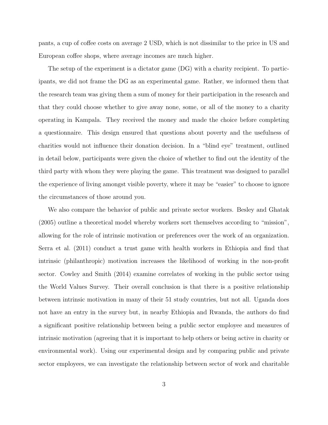pants, a cup of coffee costs on average 2 USD, which is not dissimilar to the price in US and European coffee shops, where average incomes are much higher.

The setup of the experiment is a dictator game (DG) with a charity recipient. To participants, we did not frame the DG as an experimental game. Rather, we informed them that the research team was giving them a sum of money for their participation in the research and that they could choose whether to give away none, some, or all of the money to a charity operating in Kampala. They received the money and made the choice before completing a questionnaire. This design ensured that questions about poverty and the usefulness of charities would not influence their donation decision. In a "blind eye" treatment, outlined in detail below, participants were given the choice of whether to find out the identity of the third party with whom they were playing the game. This treatment was designed to parallel the experience of living amongst visible poverty, where it may be "easier" to choose to ignore the circumstances of those around you.

We also compare the behavior of public and private sector workers. Besley and Ghatak (2005) outline a theoretical model whereby workers sort themselves according to "mission", allowing for the role of intrinsic motivation or preferences over the work of an organization. Serra et al. (2011) conduct a trust game with health workers in Ethiopia and find that intrinsic (philanthropic) motivation increases the likelihood of working in the non-profit sector. Cowley and Smith (2014) examine correlates of working in the public sector using the World Values Survey. Their overall conclusion is that there is a positive relationship between intrinsic motivation in many of their 51 study countries, but not all. Uganda does not have an entry in the survey but, in nearby Ethiopia and Rwanda, the authors do find a significant positive relationship between being a public sector employee and measures of intrinsic motivation (agreeing that it is important to help others or being active in charity or environmental work). Using our experimental design and by comparing public and private sector employees, we can investigate the relationship between sector of work and charitable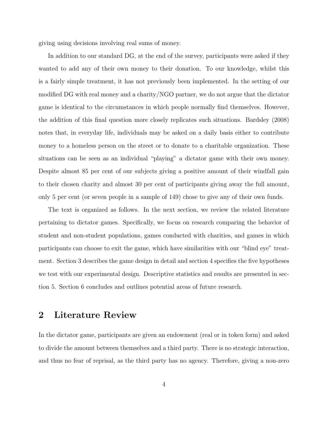giving using decisions involving real sums of money.

In addition to our standard DG, at the end of the survey, participants were asked if they wanted to add any of their own money to their donation. To our knowledge, whilst this is a fairly simple treatment, it has not previously been implemented. In the setting of our modified DG with real money and a charity/NGO partner, we do not argue that the dictator game is identical to the circumstances in which people normally find themselves. However, the addition of this final question more closely replicates such situations. Bardsley (2008) notes that, in everyday life, individuals may be asked on a daily basis either to contribute money to a homeless person on the street or to donate to a charitable organization. These situations can be seen as an individual "playing" a dictator game with their own money. Despite almost 85 per cent of our subjects giving a positive amount of their windfall gain to their chosen charity and almost 30 per cent of participants giving away the full amount, only 5 per cent (or seven people in a sample of 149) chose to give any of their own funds.

The text is organized as follows. In the next section, we review the related literature pertaining to dictator games. Specifically, we focus on research comparing the behavior of student and non-student populations, games conducted with charities, and games in which participants can choose to exit the game, which have similarities with our "blind eye" treatment. Section 3 describes the game design in detail and section 4 specifies the five hypotheses we test with our experimental design. Descriptive statistics and results are presented in section 5. Section 6 concludes and outlines potential areas of future research.

## 2 Literature Review

In the dictator game, participants are given an endowment (real or in token form) and asked to divide the amount between themselves and a third party. There is no strategic interaction, and thus no fear of reprisal, as the third party has no agency. Therefore, giving a non-zero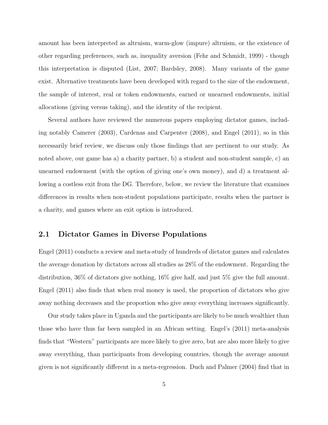amount has been interpreted as altruism, warm-glow (impure) altruism, or the existence of other regarding preferences, such as, inequality aversion (Fehr and Schmidt, 1999) - though this interpretation is disputed (List, 2007; Bardsley, 2008). Many variants of the game exist. Alternative treatments have been developed with regard to the size of the endowment, the sample of interest, real or token endowments, earned or unearned endowments, initial allocations (giving versus taking), and the identity of the recipient.

Several authors have reviewed the numerous papers employing dictator games, including notably Camerer (2003), Cardenas and Carpenter (2008), and Engel (2011), so in this necessarily brief review, we discuss only those findings that are pertinent to our study. As noted above, our game has a) a charity partner, b) a student and non-student sample, c) an unearned endowment (with the option of giving one's own money), and d) a treatment allowing a costless exit from the DG. Therefore, below, we review the literature that examines differences in results when non-student populations participate, results when the partner is a charity, and games where an exit option is introduced.

#### 2.1 Dictator Games in Diverse Populations

Engel (2011) conducts a review and meta-study of hundreds of dictator games and calculates the average donation by dictators across all studies as 28% of the endowment. Regarding the distribution, 36% of dictators give nothing, 16% give half, and just 5% give the full amount. Engel (2011) also finds that when real money is used, the proportion of dictators who give away nothing decreases and the proportion who give away everything increases significantly.

Our study takes place in Uganda and the participants are likely to be much wealthier than those who have thus far been sampled in an African setting. Engel's (2011) meta-analysis finds that "Western" participants are more likely to give zero, but are also more likely to give away everything, than participants from developing countries, though the average amount given is not significantly different in a meta-regression. Duch and Palmer (2004) find that in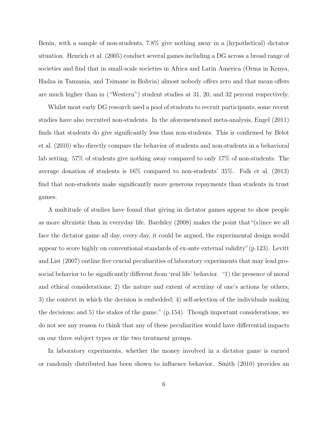Benin, with a sample of non-students, 7.8% give nothing away in a (hypothetical) dictator situation. Henrich et al. (2005) conduct several games including a DG across a broad range of societies and find that in small-scale societies in Africa and Latin America (Orma in Kenya, Hadza in Tanzania, and Tsimane in Bolivia) almost nobody offers zero and that mean offers are much higher than in ("Western") student studies at 31, 20, and 32 percent respectively.

Whilst most early DG research used a pool of students to recruit participants, some recent studies have also recruited non-students. In the aforementioned meta-analysis, Engel (2011) finds that students do give significantly less than non-students. This is confirmed by Belot et al. (2010) who directly compare the behavior of students and non-students in a behavioral lab setting. 57% of students give nothing away compared to only 17% of non-students. The average donation of students is 16% compared to non-students' 35%. Falk et al. (2013) find that non-students make significantly more generous repayments than students in trust games.

A multitude of studies have found that giving in dictator games appear to show people as more altruistic than in everyday life. Bardsley (2008) makes the point that"(s)ince we all face the dictator game all day, every day, it could be argued, the experimental design would appear to score highly on conventional standards of ex-ante external validity"(p.123). Levitt and List (2007) outline five crucial peculiarities of laboratory experiments that may lead prosocial behavior to be significantly different from 'real life' behavior. "1) the presence of moral and ethical considerations; 2) the nature and extent of scrutiny of one's actions by others; 3) the context in which the decision is embedded; 4) self-selection of the individuals making the decisions; and 5) the stakes of the game." (p.154). Though important considerations, we do not see any reason to think that any of these peculiarities would have differential impacts on our three subject types or the two treatment groups.

In laboratory experiments, whether the money involved in a dictator game is earned or randomly distributed has been shown to influence behavior. Smith (2010) provides an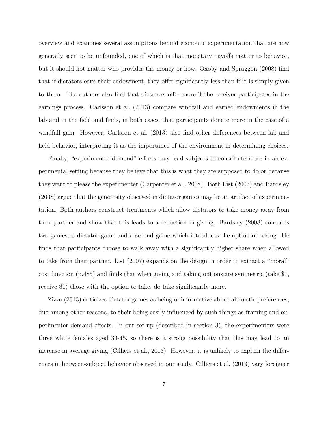overview and examines several assumptions behind economic experimentation that are now generally seen to be unfounded, one of which is that monetary payoffs matter to behavior, but it should not matter who provides the money or how. Oxoby and Spraggon (2008) find that if dictators earn their endowment, they offer significantly less than if it is simply given to them. The authors also find that dictators offer more if the receiver participates in the earnings process. Carlsson et al. (2013) compare windfall and earned endowments in the lab and in the field and finds, in both cases, that participants donate more in the case of a windfall gain. However, Carlsson et al. (2013) also find other differences between lab and field behavior, interpreting it as the importance of the environment in determining choices.

Finally, "experimenter demand" effects may lead subjects to contribute more in an experimental setting because they believe that this is what they are supposed to do or because they want to please the experimenter (Carpenter et al., 2008). Both List (2007) and Bardsley (2008) argue that the generosity observed in dictator games may be an artifact of experimentation. Both authors construct treatments which allow dictators to take money away from their partner and show that this leads to a reduction in giving. Bardsley (2008) conducts two games; a dictator game and a second game which introduces the option of taking. He finds that participants choose to walk away with a significantly higher share when allowed to take from their partner. List (2007) expands on the design in order to extract a "moral" cost function (p.485) and finds that when giving and taking options are symmetric (take \$1, receive \$1) those with the option to take, do take significantly more.

Zizzo (2013) criticizes dictator games as being uninformative about altruistic preferences, due among other reasons, to their being easily influenced by such things as framing and experimenter demand effects. In our set-up (described in section 3), the experimenters were three white females aged 30-45, so there is a strong possibility that this may lead to an increase in average giving (Cilliers et al., 2013). However, it is unlikely to explain the differences in between-subject behavior observed in our study. Cilliers et al. (2013) vary foreigner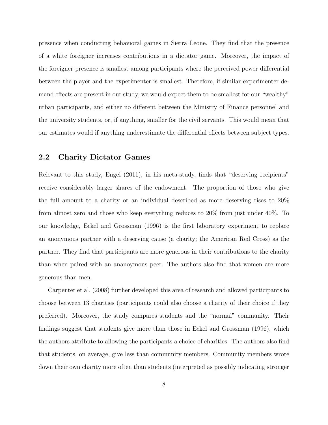presence when conducting behavioral games in Sierra Leone. They find that the presence of a white foreigner increases contributions in a dictator game. Moreover, the impact of the foreigner presence is smallest among participants where the perceived power differential between the player and the experimenter is smallest. Therefore, if similar experimenter demand effects are present in our study, we would expect them to be smallest for our "wealthy" urban participants, and either no different between the Ministry of Finance personnel and the university students, or, if anything, smaller for the civil servants. This would mean that our estimates would if anything underestimate the differential effects between subject types.

#### 2.2 Charity Dictator Games

Relevant to this study, Engel (2011), in his meta-study, finds that "deserving recipients" receive considerably larger shares of the endowment. The proportion of those who give the full amount to a charity or an individual described as more deserving rises to 20% from almost zero and those who keep everything reduces to 20% from just under 40%. To our knowledge, Eckel and Grossman (1996) is the first laboratory experiment to replace an anonymous partner with a deserving cause (a charity; the American Red Cross) as the partner. They find that participants are more generous in their contributions to the charity than when paired with an ananoymous peer. The authors also find that women are more generous than men.

Carpenter et al. (2008) further developed this area of research and allowed participants to choose between 13 charities (participants could also choose a charity of their choice if they preferred). Moreover, the study compares students and the "normal" community. Their findings suggest that students give more than those in Eckel and Grossman (1996), which the authors attribute to allowing the participants a choice of charities. The authors also find that students, on average, give less than community members. Community members wrote down their own charity more often than students (interpreted as possibly indicating stronger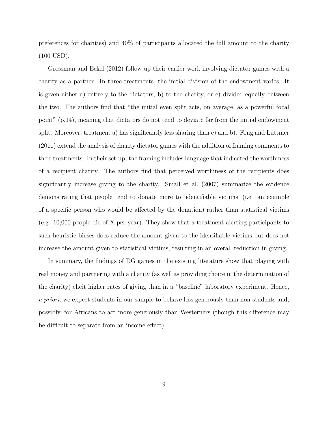preferences for charities) and 40% of participants allocated the full amount to the charity (100 USD).

Grossman and Eckel (2012) follow up their earlier work involving dictator games with a charity as a partner. In three treatments, the initial division of the endowment varies. It is given either a) entirely to the dictators, b) to the charity, or c) divided equally between the two. The authors find that "the initial even split acts, on average, as a powerful focal point" (p.14), meaning that dictators do not tend to deviate far from the initial endowment split. Moreover, treatment a) has significantly less sharing than c) and b). Fong and Luttmer (2011) extend the analysis of charity dictator games with the addition of framing comments to their treatments. In their set-up, the framing includes language that indicated the worthiness of a recipient charity. The authors find that perceived worthiness of the recipients does significantly increase giving to the charity. Small et al. (2007) summarize the evidence demonstrating that people tend to donate more to 'identifiable victims' (i.e. an example of a specific person who would be affected by the donation) rather than statistical victims (e.g. 10,000 people die of X per year). They show that a treatment alerting participants to such heuristic biases does reduce the amount given to the identifiable victims but does not increase the amount given to statistical victims, resulting in an overall reduction in giving.

In summary, the findings of DG games in the existing literature show that playing with real money and partnering with a charity (as well as providing choice in the determination of the charity) elicit higher rates of giving than in a "baseline" laboratory experiment. Hence, a priori, we expect students in our sample to behave less generously than non-students and, possibly, for Africans to act more generously than Westerners (though this difference may be difficult to separate from an income effect).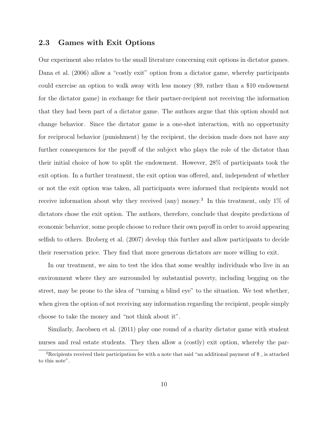#### 2.3 Games with Exit Options

Our experiment also relates to the small literature concerning exit options in dictator games. Dana et al. (2006) allow a "costly exit" option from a dictator game, whereby participants could exercise an option to walk away with less money (\$9, rather than a \$10 endowment for the dictator game) in exchange for their partner-recipient not receiving the information that they had been part of a dictator game. The authors argue that this option should not change behavior. Since the dictator game is a one-shot interaction, with no opportunity for reciprocal behavior (punishment) by the recipient, the decision made does not have any further consequences for the payoff of the subject who plays the role of the dictator than their initial choice of how to split the endowment. However, 28% of participants took the exit option. In a further treatment, the exit option was offered, and, independent of whether or not the exit option was taken, all participants were informed that recipients would not receive information about why they received (any) money.<sup>3</sup> In this treatment, only  $1\%$  of dictators chose the exit option. The authors, therefore, conclude that despite predictions of economic behavior, some people choose to reduce their own payoff in order to avoid appearing selfish to others. Broberg et al. (2007) develop this further and allow participants to decide their reservation price. They find that more generous dictators are more willing to exit.

In our treatment, we aim to test the idea that some wealthy individuals who live in an environment where they are surrounded by substantial poverty, including begging on the street, may be prone to the idea of "turning a blind eye" to the situation. We test whether, when given the option of not receiving any information regarding the recipient, people simply choose to take the money and "not think about it".

Similarly, Jacobsen et al. (2011) play one round of a charity dictator game with student nurses and real estate students. They then allow a (costly) exit option, whereby the par-

<sup>&</sup>lt;sup>3</sup>Recipients received their participation fee with a note that said "an additional payment of  $\frac{1}{2}$  is attached to this note".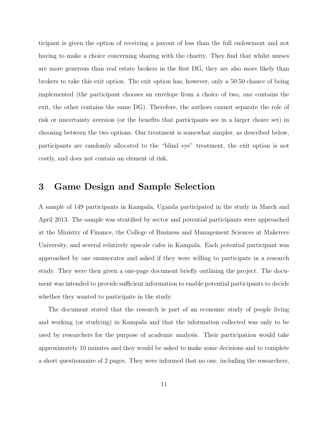ticipant is given the option of receiving a payout of less than the full endowment and not having to make a choice concerning sharing with the charity. They find that whilst nurses are more generous than real estate brokers in the first DG, they are also more likely than brokers to take this exit option. The exit option has, however, only a 50:50 chance of being implemented (the participant chooses an envelope from a choice of two, one contains the exit, the other contains the same DG). Therefore, the authors cannot separate the role of risk or uncertainty aversion (or the benefits that participants see in a larger choice set) in choosing between the two options. Our treatment is somewhat simpler, as described below, participants are randomly allocated to the "blind eye" treatment, the exit option is not costly, and does not contain an element of risk.

## 3 Game Design and Sample Selection

A sample of 149 participants in Kampala, Uganda participated in the study in March and April 2013. The sample was stratified by sector and potential participants were approached at the Ministry of Finance, the College of Business and Management Sciences at Makerere University, and several relatively upscale cafes in Kampala. Each potential participant was approached by one enumerator and asked if they were willing to participate in a research study. They were then given a one-page document briefly outlining the project. The document was intended to provide sufficient information to enable potential participants to decide whether they wanted to participate in the study.

The document stated that the research is part of an economic study of people living and working (or studying) in Kampala and that the information collected was only to be used by researchers for the purpose of academic analysis. Their participation would take approximately 10 minutes and they would be asked to make some decisions and to complete a short questionnaire of 2 pages. They were informed that no one, including the researchers,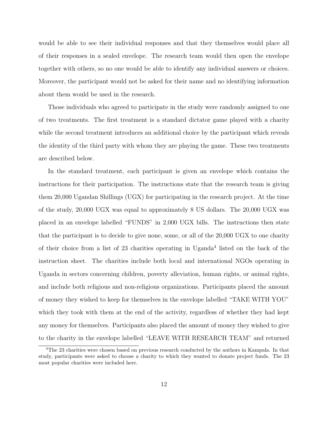would be able to see their individual responses and that they themselves would place all of their responses in a sealed envelope. The research team would then open the envelope together with others, so no one would be able to identify any individual answers or choices. Moreover, the participant would not be asked for their name and no identifying information about them would be used in the research.

Those individuals who agreed to participate in the study were randomly assigned to one of two treatments. The first treatment is a standard dictator game played with a charity while the second treatment introduces an additional choice by the participant which reveals the identity of the third party with whom they are playing the game. These two treatments are described below.

In the standard treatment, each participant is given an envelope which contains the instructions for their participation. The instructions state that the research team is giving them 20,000 Ugandan Shillings (UGX) for participating in the research project. At the time of the study, 20,000 UGX was equal to approximately 8 US dollars. The 20,000 UGX was placed in an envelope labelled "FUNDS" in 2,000 UGX bills. The instructions then state that the participant is to decide to give none, some, or all of the 20,000 UGX to one charity of their choice from a list of 23 charities operating in Uganda<sup>4</sup> listed on the back of the instruction sheet. The charities include both local and international NGOs operating in Uganda in sectors concerning children, poverty alleviation, human rights, or animal rights, and include both religious and non-religious organizations. Participants placed the amount of money they wished to keep for themselves in the envelope labelled "TAKE WITH YOU" which they took with them at the end of the activity, regardless of whether they had kept any money for themselves. Participants also placed the amount of money they wished to give to the charity in the envelope labelled "LEAVE WITH RESEARCH TEAM" and returned

<sup>4</sup>The 23 charities were chosen based on previous research conducted by the authors in Kampala. In that study, participants were asked to choose a charity to which they wanted to donate project funds. The 23 most popular charities were included here.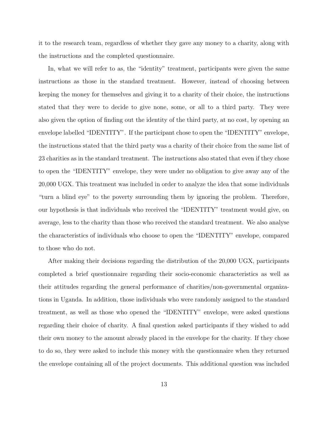it to the research team, regardless of whether they gave any money to a charity, along with the instructions and the completed questionnaire.

In, what we will refer to as, the "identity" treatment, participants were given the same instructions as those in the standard treatment. However, instead of choosing between keeping the money for themselves and giving it to a charity of their choice, the instructions stated that they were to decide to give none, some, or all to a third party. They were also given the option of finding out the identity of the third party, at no cost, by opening an envelope labelled "IDENTITY". If the participant chose to open the "IDENTITY" envelope, the instructions stated that the third party was a charity of their choice from the same list of 23 charities as in the standard treatment. The instructions also stated that even if they chose to open the "IDENTITY" envelope, they were under no obligation to give away any of the 20,000 UGX. This treatment was included in order to analyze the idea that some individuals "turn a blind eye" to the poverty surrounding them by ignoring the problem. Therefore, our hypothesis is that individuals who received the "IDENTITY" treatment would give, on average, less to the charity than those who received the standard treatment. We also analyse the characteristics of individuals who choose to open the "IDENTITY" envelope, compared to those who do not.

After making their decisions regarding the distribution of the 20,000 UGX, participants completed a brief questionnaire regarding their socio-economic characteristics as well as their attitudes regarding the general performance of charities/non-governmental organizations in Uganda. In addition, those individuals who were randomly assigned to the standard treatment, as well as those who opened the "IDENTITY" envelope, were asked questions regarding their choice of charity. A final question asked participants if they wished to add their own money to the amount already placed in the envelope for the charity. If they chose to do so, they were asked to include this money with the questionnaire when they returned the envelope containing all of the project documents. This additional question was included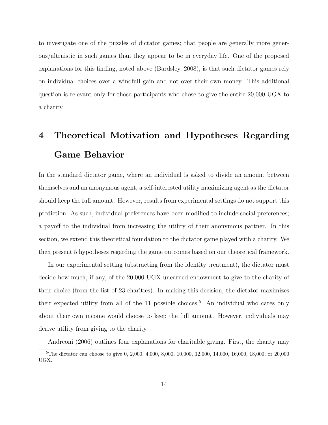to investigate one of the puzzles of dictator games; that people are generally more generous/altruistic in such games than they appear to be in everyday life. One of the proposed explanations for this finding, noted above (Bardsley, 2008), is that such dictator games rely on individual choices over a windfall gain and not over their own money. This additional question is relevant only for those participants who chose to give the entire 20,000 UGX to a charity.

# 4 Theoretical Motivation and Hypotheses Regarding Game Behavior

In the standard dictator game, where an individual is asked to divide an amount between themselves and an anonymous agent, a self-interested utility maximizing agent as the dictator should keep the full amount. However, results from experimental settings do not support this prediction. As such, individual preferences have been modified to include social preferences; a payoff to the individual from increasing the utility of their anonymous partner. In this section, we extend this theoretical foundation to the dictator game played with a charity. We then present 5 hypotheses regarding the game outcomes based on our theoretical framework.

In our experimental setting (abstracting from the identity treatment), the dictator must decide how much, if any, of the 20,000 UGX unearned endowment to give to the charity of their choice (from the list of 23 charities). In making this decision, the dictator maximizes their expected utility from all of the 11 possible choices.<sup>5</sup> An individual who cares only about their own income would choose to keep the full amount. However, individuals may derive utility from giving to the charity.

Andreoni (2006) outlines four explanations for charitable giving. First, the charity may <sup>5</sup>The dictator can choose to give 0, 2,000, 4,000, 8,000, 10,000, 12,000, 14,000, 16,000, 18,000, or 20,000 UGX.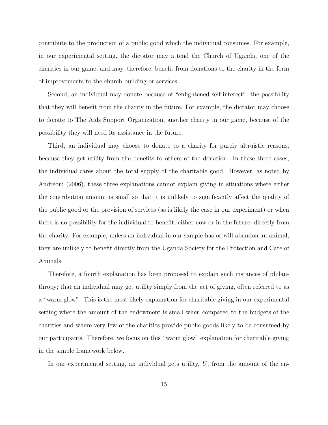contribute to the production of a public good which the individual consumes. For example, in our experimental setting, the dictator may attend the Church of Uganda, one of the charities in our game, and may, therefore, benefit from donations to the charity in the form of improvements to the church building or services.

Second, an individual may donate because of "enlightened self-interest"; the possibility that they will benefit from the charity in the future. For example, the dictator may choose to donate to The Aids Support Organization, another charity in our game, because of the possibility they will need its assistance in the future.

Third, an individual may choose to donate to a charity for purely altruistic reasons; because they get utility from the benefits to others of the donation. In these three cases, the individual cares about the total supply of the charitable good. However, as noted by Andreoni (2006), these three explanations cannot explain giving in situations where either the contribution amount is small so that it is unlikely to significantly affect the quality of the public good or the provision of services (as is likely the case in our experiment) or when there is no possibility for the individual to benefit, either now or in the future, directly from the charity. For example, unless an individual in our sample has or will abandon an animal, they are unlikely to benefit directly from the Uganda Society for the Protection and Care of Animals.

Therefore, a fourth explanation has been proposed to explain such instances of philanthropy; that an individual may get utility simply from the act of giving, often referred to as a "warm glow". This is the most likely explanation for charitable giving in our experimental setting where the amount of the endowment is small when compared to the budgets of the charities and where very few of the charities provide public goods likely to be consumed by our participants. Therefore, we focus on this "warm glow" explanation for charitable giving in the simple framework below.

In our experimental setting, an individual gets utility,  $U$ , from the amount of the en-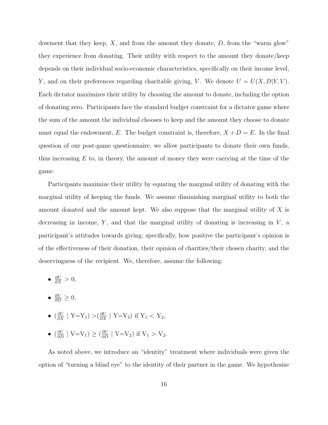dowment that they keep,  $X$ , and from the amount they donate,  $D$ , from the "warm glow" they experience from donating. Their utility with respect to the amount they donate/keep depends on their individual socio-economic characteristics, specifically on their income level, Y, and on their preferences regarding charitable giving, V. We denote  $U = U(X, D|Y, V)$ . Each dictator maximizes their utility by choosing the amount to donate, including the option of donating zero. Participants face the standard budget constraint for a dictator game where the sum of the amount the individual chooses to keep and the amount they choose to donate must equal the endowment, E. The budget constraint is, therefore,  $X + D = E$ . In the final question of our post-game questionnaire, we allow participants to donate their own funds, thus increasing  $E$  to, in theory, the amount of money they were carrying at the time of the game.

Participants maximize their utility by equating the marginal utility of donating with the marginal utility of keeping the funds. We assume diminishing marginal utility to both the amount donated and the amount kept. We also suppose that the marginal utility of X is decreasing in income,  $Y$ , and that the marginal utility of donating is increasing in  $V$ , a participant's attitudes towards giving; specifically, how positive the participant's opinion is of the effectiveness of their donation, their opinion of charities/their chosen charity, and the deservingness of the recipient. We, therefore, assume the following:

- $\frac{\partial U}{\partial X} > 0$ ,
- $\frac{\partial U}{\partial D} \geq 0$ ,
- $\left(\frac{\partial U}{\partial X} \mid Y = Y_1\right) > \left(\frac{\partial U}{\partial X} \mid Y = Y_2\right)$  if  $Y_1 < Y_2$ ,
- $\left(\frac{\partial U}{\partial D} \mid V = V_1\right) \ge \left(\frac{\partial U}{\partial D} \mid V = V_2\right)$  if  $V_1 > V_2$ .

As noted above, we introduce an "identity" treatment where individuals were given the option of "turning a blind eye" to the identity of their partner in the game. We hypothesize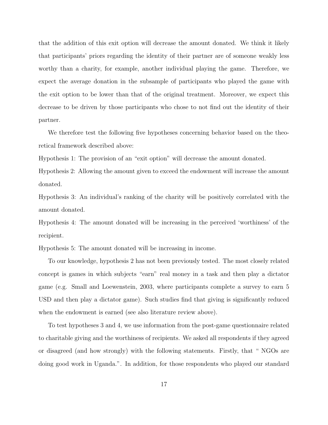that the addition of this exit option will decrease the amount donated. We think it likely that participants' priors regarding the identity of their partner are of someone weakly less worthy than a charity, for example, another individual playing the game. Therefore, we expect the average donation in the subsample of participants who played the game with the exit option to be lower than that of the original treatment. Moreover, we expect this decrease to be driven by those participants who chose to not find out the identity of their partner.

We therefore test the following five hypotheses concerning behavior based on the theoretical framework described above:

Hypothesis 1: The provision of an "exit option" will decrease the amount donated.

Hypothesis 2: Allowing the amount given to exceed the endowment will increase the amount donated.

Hypothesis 3: An individual's ranking of the charity will be positively correlated with the amount donated.

Hypothesis 4: The amount donated will be increasing in the perceived 'worthiness' of the recipient.

Hypothesis 5: The amount donated will be increasing in income.

To our knowledge, hypothesis 2 has not been previously tested. The most closely related concept is games in which subjects "earn" real money in a task and then play a dictator game (e.g. Small and Loewenstein, 2003, where participants complete a survey to earn 5 USD and then play a dictator game). Such studies find that giving is significantly reduced when the endowment is earned (see also literature review above).

To test hypotheses 3 and 4, we use information from the post-game questionnaire related to charitable giving and the worthiness of recipients. We asked all respondents if they agreed or disagreed (and how strongly) with the following statements. Firstly, that " NGOs are doing good work in Uganda.". In addition, for those respondents who played our standard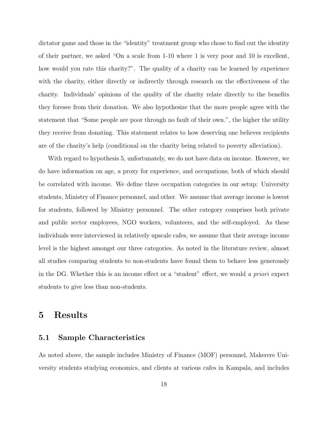dictator game and those in the "identity" treatment group who chose to find out the identity of their partner, we asked "On a scale from 1-10 where 1 is very poor and 10 is excellent, how would you rate this charity?". The quality of a charity can be learned by experience with the charity, either directly or indirectly through research on the effectiveness of the charity. Individuals' opinions of the quality of the charity relate directly to the benefits they foresee from their donation. We also hypothesize that the more people agree with the statement that "Some people are poor through no fault of their own.", the higher the utility they receive from donating. This statement relates to how deserving one believes recipients are of the charity's help (conditional on the charity being related to poverty alleviation).

With regard to hypothesis 5, unfortunately, we do not have data on income. However, we do have information on age, a proxy for experience, and occupations; both of which should be correlated with income. We define three occupation categories in our setup: University students, Ministry of Finance personnel, and other. We assume that average income is lowest for students, followed by Ministry personnel. The other category comprises both private and public sector employees, NGO workers, volunteers, and the self-employed. As these individuals were interviewed in relatively upscale cafes, we assume that their average income level is the highest amongst our three categories. As noted in the literature review, almost all studies comparing students to non-students have found them to behave less generously in the DG. Whether this is an income effect or a "student" effect, we would a priori expect students to give less than non-students.

## 5 Results

#### 5.1 Sample Characteristics

As noted above, the sample includes Ministry of Finance (MOF) personnel, Makerere University students studying economics, and clients at various cafes in Kampala, and includes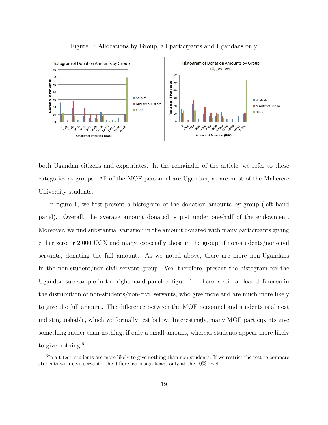

Figure 1: Allocations by Group, all participants and Ugandans only

both Ugandan citizens and expatriates. In the remainder of the article, we refer to these categories as groups. All of the MOF personnel are Ugandan, as are most of the Makerere University students.

In figure 1, we first present a histogram of the donation amounts by group (left hand panel). Overall, the average amount donated is just under one-half of the endowment. Moreover, we find substantial variation in the amount donated with many participants giving either zero or 2,000 UGX and many, especially those in the group of non-students/non-civil servants, donating the full amount. As we noted above, there are more non-Ugandans in the non-student/non-civil servant group. We, therefore, present the histogram for the Ugandan sub-sample in the right hand panel of figure 1. There is still a clear difference in the distribution of non-students/non-civil servants, who give more and are much more likely to give the full amount. The difference between the MOF personnel and students is almost indistinguishable, which we formally test below. Interestingly, many MOF participants give something rather than nothing, if only a small amount, whereas students appear more likely to give nothing.<sup>6</sup>

<sup>&</sup>lt;sup>6</sup>In a t-test, students are more likely to give nothing than non-students. If we restrict the test to compare students with civil servants, the difference is significant only at the 10% level.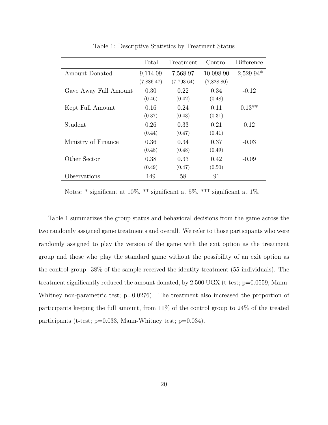|                       | Total      | Treatment  | Control    | Difference   |
|-----------------------|------------|------------|------------|--------------|
| Amount Donated        | 9,114.09   | 7,568.97   | 10,098.90  | $-2,529.94*$ |
|                       | (7,886.47) | (7,793.64) | (7,828.80) |              |
| Gave Away Full Amount | 0.30       | 0.22       | 0.34       | $-0.12$      |
|                       | (0.46)     | (0.42)     | (0.48)     |              |
| Kept Full Amount      | 0.16       | 0.24       | 0.11       | $0.13**$     |
|                       | (0.37)     | (0.43)     | (0.31)     |              |
| Student               | 0.26       | 0.33       | 0.21       | 0.12         |
|                       | (0.44)     | (0.47)     | (0.41)     |              |
| Ministry of Finance   | 0.36       | 0.34       | 0.37       | $-0.03$      |
|                       | (0.48)     | (0.48)     | (0.49)     |              |
| Other Sector          | 0.38       | 0.33       | 0.42       | $-0.09$      |
|                       | (0.49)     | (0.47)     | (0.50)     |              |
| Observations          | 149        | 58         | 91         |              |

Table 1: Descriptive Statistics by Treatment Status

Notes: \* significant at 10%, \*\* significant at 5%, \*\*\* significant at 1%.

Table 1 summarizes the group status and behavioral decisions from the game across the two randomly assigned game treatments and overall. We refer to those participants who were randomly assigned to play the version of the game with the exit option as the treatment group and those who play the standard game without the possibility of an exit option as the control group. 38% of the sample received the identity treatment (55 individuals). The treatment significantly reduced the amount donated, by 2,500 UGX (t-test; p=0.0559, Mann-Whitney non-parametric test;  $p=0.0276$ ). The treatment also increased the proportion of participants keeping the full amount, from 11% of the control group to 24% of the treated participants (t-test; p=0.033, Mann-Whitney test; p=0.034).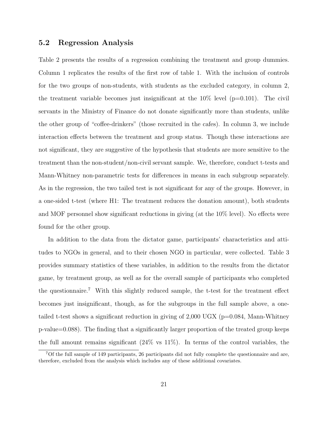#### 5.2 Regression Analysis

Table 2 presents the results of a regression combining the treatment and group dummies. Column 1 replicates the results of the first row of table 1. With the inclusion of controls for the two groups of non-students, with students as the excluded category, in column 2, the treatment variable becomes just insignificant at the  $10\%$  level ( $p=0.101$ ). The civil servants in the Ministry of Finance do not donate significantly more than students, unlike the other group of "coffee-drinkers" (those recruited in the cafes). In column 3, we include interaction effects between the treatment and group status. Though these interactions are not significant, they are suggestive of the hypothesis that students are more sensitive to the treatment than the non-student/non-civil servant sample. We, therefore, conduct t-tests and Mann-Whitney non-parametric tests for differences in means in each subgroup separately. As in the regression, the two tailed test is not significant for any of the groups. However, in a one-sided t-test (where H1: The treatment reduces the donation amount), both students and MOF personnel show significant reductions in giving (at the 10% level). No effects were found for the other group.

In addition to the data from the dictator game, participants' characteristics and attitudes to NGOs in general, and to their chosen NGO in particular, were collected. Table 3 provides summary statistics of these variables, in addition to the results from the dictator game, by treatment group, as well as for the overall sample of participants who completed the questionnaire.<sup>7</sup> With this slightly reduced sample, the t-test for the treatment effect becomes just insignificant, though, as for the subgroups in the full sample above, a onetailed t-test shows a significant reduction in giving of  $2,000$  UGX ( $p=0.084$ , Mann-Whitney p-value=0.088). The finding that a significantly larger proportion of the treated group keeps the full amount remains significant  $(24\% \text{ vs } 11\%)$ . In terms of the control variables, the

<sup>7</sup>Of the full sample of 149 participants, 26 participants did not fully complete the questionnaire and are, therefore, excluded from the analysis which includes any of these additional covariates.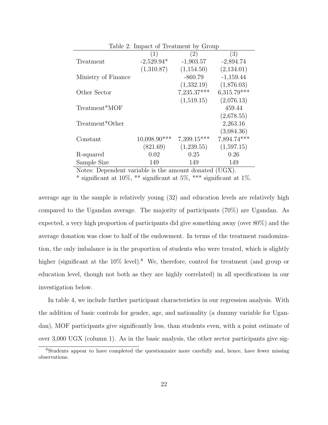| Table 2: Impact of Treatment by Group |                |             |               |  |
|---------------------------------------|----------------|-------------|---------------|--|
|                                       | (1)            | (2)         | (3)           |  |
| Treatment                             | $-2,529.94*$   | $-1,903.57$ | $-2,894.74$   |  |
|                                       | (1,310.87)     | (1,154.50)  | (2,134.01)    |  |
| Ministry of Finance                   |                | $-860.79$   | $-1,159.44$   |  |
|                                       |                | (1,332.19)  | (1,876.03)    |  |
| Other Sector                          |                | 7,235.37*** | $6,315.79***$ |  |
|                                       |                | (1,519.15)  | (2,076.13)    |  |
| Treatment*MOF                         |                |             | 459.44        |  |
|                                       |                |             | (2,678.55)    |  |
| Treatment*Other                       |                |             | 2,263.16      |  |
|                                       |                |             | (3,084.36)    |  |
| Constant                              | $10,098.90***$ | 7,399.15*** | 7,894.74***   |  |
|                                       | (821.69)       | (1,239.55)  | (1,597.15)    |  |
| R-squared                             | 0.02           | 0.25        | 0.26          |  |
| Sample Size                           | 149            | 149         | 149           |  |

Notes: Dependent variable is the amount donated (UGX).

\* significant at 10%, \*\* significant at 5%, \*\*\* significant at 1%.

average age in the sample is relatively young (32) and education levels are relatively high compared to the Ugandan average. The majority of participants (70%) are Ugandan. As expected, a very high proportion of participants did give something away (over 80%) and the average donation was close to half of the endowment. In terms of the treatment randomization, the only imbalance is in the proportion of students who were treated, which is slightly higher (significant at the 10% level).<sup>8</sup> We, therefore, control for treatment (and group or education level, though not both as they are highly correlated) in all specifications in our investigation below.

In table 4, we include further participant characteristics in our regression analysis. With the addition of basic controls for gender, age, and nationality (a dummy variable for Ugandan), MOF participants give significantly less, than students even, with a point estimate of over 3,000 UGX (column 1). As in the basic analysis, the other sector participants give sig-

<sup>8</sup>Students appear to have completed the questionnaire more carefully and, hence, have fewer missing observations.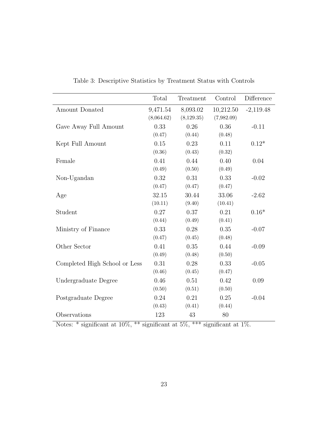|                               | Total      | Treatment   | Control    | Difference  |
|-------------------------------|------------|-------------|------------|-------------|
| Amount Donated                | 9,471.54   | 8,093.02    | 10,212.50  | $-2,119.48$ |
|                               | (8,064.62) | (8, 129.35) | (7,982.09) |             |
| Gave Away Full Amount         | 0.33       | 0.26        | 0.36       | $-0.11$     |
|                               | (0.47)     | (0.44)      | (0.48)     |             |
| Kept Full Amount              | 0.15       | 0.23        | 0.11       | $0.12*$     |
|                               | (0.36)     | (0.43)      | (0.32)     |             |
| Female                        | 0.41       | 0.44        | 0.40       | 0.04        |
|                               | (0.49)     | (0.50)      | (0.49)     |             |
| Non-Ugandan                   | 0.32       | 0.31        | 0.33       | $-0.02$     |
|                               | (0.47)     | (0.47)      | (0.47)     |             |
| Age                           | 32.15      | 30.44       | 33.06      | $-2.62$     |
|                               | (10.11)    | (9.40)      | (10.41)    |             |
| Student                       | 0.27       | 0.37        | 0.21       | $0.16*$     |
|                               | (0.44)     | (0.49)      | (0.41)     |             |
| Ministry of Finance           | 0.33       | 0.28        | 0.35       | $-0.07$     |
|                               | (0.47)     | (0.45)      | (0.48)     |             |
| Other Sector                  | 0.41       | 0.35        | 0.44       | $-0.09$     |
|                               | (0.49)     | (0.48)      | (0.50)     |             |
| Completed High School or Less | 0.31       | 0.28        | 0.33       | $-0.05$     |
|                               | (0.46)     | (0.45)      | (0.47)     |             |
| Undergraduate Degree          | 0.46       | 0.51        | 0.42       | 0.09        |
|                               | (0.50)     | (0.51)      | (0.50)     |             |
| Postgraduate Degree           | 0.24       | 0.21        | 0.25       | $-0.04$     |
|                               | (0.43)     | (0.41)      | (0.44)     |             |
| Observations                  | 123        | 43          | 80         |             |

Table 3: Descriptive Statistics by Treatment Status with Controls

Notes: \* significant at  $10\%,$  \*\* significant at  $5\%,$  \*\*\* significant at  $1\%$ .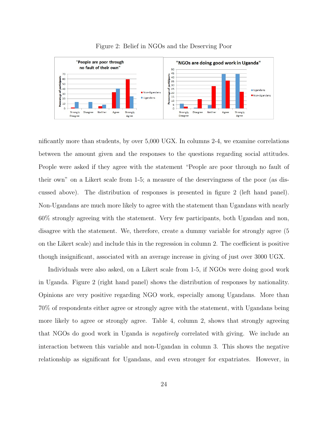

Figure 2: Belief in NGOs and the Deserving Poor

nificantly more than students, by over 5,000 UGX. In columns 2-4, we examine correlations between the amount given and the responses to the questions regarding social attitudes. People were asked if they agree with the statement "People are poor through no fault of their own" on a Likert scale from 1-5; a measure of the deservingness of the poor (as discussed above). The distribution of responses is presented in figure 2 (left hand panel). Non-Ugandans are much more likely to agree with the statement than Ugandans with nearly 60% strongly agreeing with the statement. Very few participants, both Ugandan and non, disagree with the statement. We, therefore, create a dummy variable for strongly agree (5 on the Likert scale) and include this in the regression in column 2. The coefficient is positive though insignificant, associated with an average increase in giving of just over 3000 UGX.

Individuals were also asked, on a Likert scale from 1-5, if NGOs were doing good work in Uganda. Figure 2 (right hand panel) shows the distribution of responses by nationality. Opinions are very positive regarding NGO work, especially among Ugandans. More than 70% of respondents either agree or strongly agree with the statement, with Ugandans being more likely to agree or strongly agree. Table 4, column 2, shows that strongly agreeing that NGOs do good work in Uganda is negatively correlated with giving. We include an interaction between this variable and non-Ugandan in column 3. This shows the negative relationship as significant for Ugandans, and even stronger for expatriates. However, in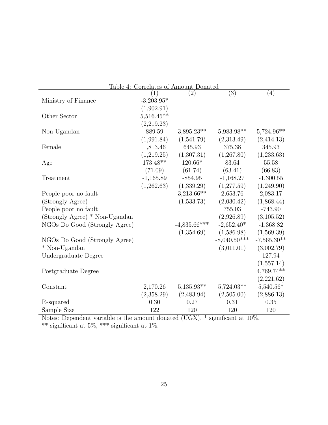| Table 4: Correlates of Amount Donated |              |                   |                |               |
|---------------------------------------|--------------|-------------------|----------------|---------------|
|                                       | (1)          | $\left( 2\right)$ | (3)            | (4)           |
| Ministry of Finance                   | $-3,203.95*$ |                   |                |               |
|                                       | (1,902.91)   |                   |                |               |
| Other Sector                          | $5,516.45**$ |                   |                |               |
|                                       | (2,219.23)   |                   |                |               |
| Non-Ugandan                           | 889.59       | $3,895.23**$      | 5,983.98**     | $5,724.96**$  |
|                                       | (1,991.84)   | (1,541.79)        | (2,313.49)     | (2,414.13)    |
| Female                                | 1,813.46     | 645.93            | 375.38         | 345.93        |
|                                       | (1,219.25)   | (1,307.31)        | (1,267.80)     | (1,233.63)    |
| Age                                   | 173.48**     | 120.66*           | 83.64          | 55.58         |
|                                       | (71.09)      | (61.74)           | (63.41)        | (66.83)       |
| Treatment                             | $-1,165.89$  | $-854.95$         | $-1,168.27$    | $-1,300.55$   |
|                                       | (1,262.63)   | (1,339.29)        | (1,277.59)     | (1,249.90)    |
| People poor no fault                  |              | $3,213.66**$      | 2,653.76       | 2,083.17      |
| (Strongly Agree)                      |              | (1,533.73)        | (2,030.42)     | (1,868.44)    |
| People poor no fault                  |              |                   | 755.03         | $-743.90$     |
| (Strongly Agree) * Non-Ugandan        |              |                   | (2,926.89)     | (3,105.52)    |
| NGOs Do Good (Strongly Agree)         |              | $-4,835.66***$    | $-2,652.40*$   | $-1,368.82$   |
|                                       |              | (1,354.69)        | (1,586.98)     | (1,569.39)    |
| NGOs Do Good (Strongly Agree)         |              |                   | $-8,040.50***$ | $-7,565.30**$ |
| * Non-Ugandan                         |              |                   | (3,011.01)     | (3,002.79)    |
| Undergraduate Degree                  |              |                   |                | 127.94        |
|                                       |              |                   |                | (1,557.14)    |
| Postgraduate Degree                   |              |                   |                | 4,769.74**    |
|                                       |              |                   |                | (2,221.62)    |
| Constant                              | 2,170.26     | $5,135.93**$      | $5,724.03**$   | $5,540.56*$   |
|                                       | (2,358.29)   | (2,483.94)        | (2,505.00)     | (2,886.13)    |
| R-squared                             | 0.30         | 0.27              | 0.31           | 0.35          |
| Sample Size                           | 122          | 120               | 120            | 120           |

Notes: Dependent variable is the amount donated (UGX). \* significant at  $10\%,$ \*\* significant at 5\%, \*\*\* significant at 1\%.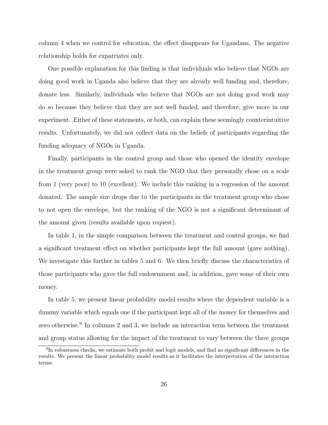column 4 when we control for education, the effect disappears for Ugandans. The negative relationship holds for expatriates only.

One possible explanation for this finding is that individuals who believe that NGOs are doing good work in Uganda also believe that they are already well funding and, therefore, donate less. Similarly, individuals who believe that NGOs are not doing good work may do so because they believe that they are not well funded, and therefore, give more in our experiment. Either of these statements, or both, can explain these seemingly counterintuitive results. Unfortunately, we did not collect data on the beliefs of participants regarding the funding adequacy of NGOs in Uganda.

Finally, participants in the control group and those who opened the identity envelope in the treatment group were asked to rank the NGO that they personally chose on a scale from 1 (very poor) to 10 (excellent). We include this ranking in a regression of the amount donated. The sample size drops due to the participants in the treatment group who chose to not open the envelope, but the ranking of the NGO is not a significant determinant of the amount given (results available upon request).

In table 1, in the simple comparison between the treatment and control groups, we find a significant treatment effect on whether participants kept the full amount (gave nothing). We investigate this further in tables 5 and 6. We then briefly discuss the characteristics of those participants who gave the full endowmment and, in addition, gave some of their own money.

In table 5, we present linear probability model results where the dependent variable is a dummy variable which equals one if the participant kept all of the money for themselves and zero otherwise.<sup>9</sup> In columns 2 and 3, we include an interaction term between the treatment and group status allowing for the impact of the treatment to vary between the three groups

<sup>&</sup>lt;sup>9</sup>In robustness checks, we estimate both probit and logit models, and find no significant differences in the results. We present the linear probability model results as it facilitates the interpretation of the interaction terms.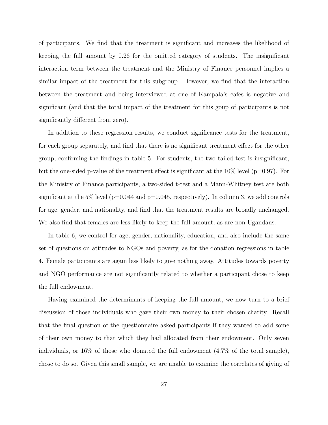of participants. We find that the treatment is significant and increases the likelihood of keeping the full amount by 0.26 for the omitted category of students. The insignificant interaction term between the treatment and the Ministry of Finance personnel implies a similar impact of the treatment for this subgroup. However, we find that the interaction between the treatment and being interviewed at one of Kampala's cafes is negative and significant (and that the total impact of the treatment for this goup of participants is not significantly different from zero).

In addition to these regression results, we conduct significance tests for the treatment, for each group separately, and find that there is no significant treatment effect for the other group, confirming the findings in table 5. For students, the two tailed test is insignificant, but the one-sided p-value of the treatment effect is significant at the  $10\%$  level (p=0.97). For the Ministry of Finance participants, a two-sided t-test and a Mann-Whitney test are both significant at the 5% level ( $p=0.044$  and  $p=0.045$ , respectively). In column 3, we add controls for age, gender, and nationality, and find that the treatment results are broadly unchanged. We also find that females are less likely to keep the full amount, as are non-Ugandans.

In table 6, we control for age, gender, nationality, education, and also include the same set of questions on attitudes to NGOs and poverty, as for the donation regressions in table 4. Female participants are again less likely to give nothing away. Attitudes towards poverty and NGO performance are not significantly related to whether a participant chose to keep the full endowment.

Having examined the determinants of keeping the full amount, we now turn to a brief discussion of those individuals who gave their own money to their chosen charity. Recall that the final question of the questionnaire asked participants if they wanted to add some of their own money to that which they had allocated from their endowment. Only seven individuals, or  $16\%$  of those who donated the full endowment  $(4.7\%$  of the total sample), chose to do so. Given this small sample, we are unable to examine the correlates of giving of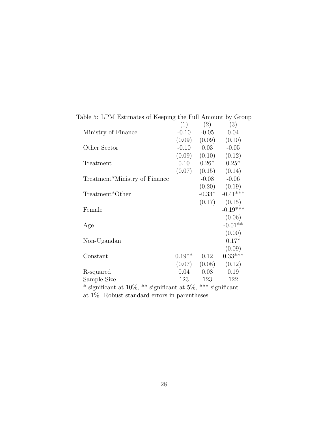| able 5. Et in estimates of reeping the Full Amount by Grou |          |                |            |
|------------------------------------------------------------|----------|----------------|------------|
|                                                            | (1)      | (2)            | (3)        |
| Ministry of Finance                                        | $-0.10$  | $-0.05$        | 0.04       |
|                                                            | (0.09)   | (0.09)         | (0.10)     |
| Other Sector                                               | $-0.10$  | 0.03           | $-0.05$    |
|                                                            | (0.09)   | (0.10)         | (0.12)     |
| Treatment                                                  | 0.10     | $0.26*$        | $0.25*$    |
|                                                            | (0.07)   | (0.15)         | (0.14)     |
| Treatment*Ministry of Finance                              |          | $-0.08$        | $-0.06$    |
|                                                            |          | (0.20)         | (0.19)     |
| Treatment*Other                                            |          | $-0.33*$       | $-0.41***$ |
|                                                            |          | (0.17)         | (0.15)     |
| Female                                                     |          |                | $-0.19***$ |
|                                                            |          |                | (0.06)     |
| Age                                                        |          |                | $-0.01**$  |
|                                                            |          |                | (0.00)     |
| Non-Ugandan                                                |          |                | $0.17*$    |
|                                                            |          |                | (0.09)     |
| Constant                                                   | $0.19**$ | 0.12           | $0.33***$  |
|                                                            | (0.07)   | (0.08)         | (0.12)     |
| R-squared                                                  | 0.04     | 0.08           | 0.19       |
| Sample Size                                                | 123      | 123            | 122        |
| مالد مالد                                                  |          | مالد مالد مالد |            |

Table 5: LPM Estimates of Keeping the Full Amount by Group

\* significant at 10%, \*\* significant at 5%, \*\*\* significant at 1%. Robust standard errors in parentheses.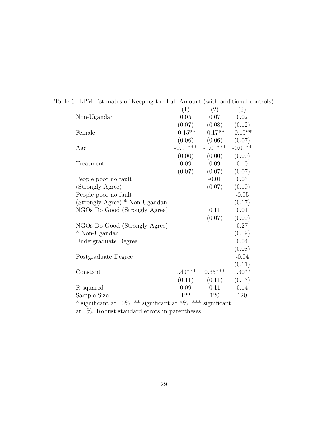|                                | (1)        | (2)        | $\bar{3})$ |
|--------------------------------|------------|------------|------------|
| Non-Ugandan                    | 0.05       | 0.07       | 0.02       |
|                                | (0.07)     | (0.08)     | (0.12)     |
| Female                         | $-0.15**$  | $-0.17**$  | $-0.15**$  |
|                                | (0.06)     | (0.06)     | (0.07)     |
| Age                            | $-0.01***$ | $-0.01***$ | $-0.00**$  |
|                                | (0.00)     | (0.00)     | (0.00)     |
| Treatment                      | 0.09       | 0.09       | 0.10       |
|                                | (0.07)     | (0.07)     | (0.07)     |
| People poor no fault           |            | $-0.01$    | 0.03       |
| (Strongly Agree)               |            | (0.07)     | (0.10)     |
| People poor no fault           |            |            | $-0.05$    |
| (Strongly Agree) * Non-Ugandan |            |            | (0.17)     |
| NGOs Do Good (Strongly Agree)  |            | 0.11       | 0.01       |
|                                |            | (0.07)     | (0.09)     |
| NGOs Do Good (Strongly Agree)  |            |            | 0.27       |
| * Non-Ugandan                  |            |            | (0.19)     |
| Undergraduate Degree           |            |            | 0.04       |
|                                |            |            | (0.08)     |
| Postgraduate Degree            |            |            | $-0.04$    |
|                                |            |            | (0.11)     |
| Constant                       | $0.40***$  | $0.35***$  | $0.30**$   |
|                                | (0.11)     | (0.11)     | (0.13)     |
| R-squared                      | 0.09       | 0.11       | 0.14       |
| Sample Size                    | 122        | 120        | 120        |

Table 6: LPM Estimates of Keeping the Full Amount (with additional controls)

 $*$  significant at 10%,  $**$  significant at 5%,  $***$  significant at 1%. Robust standard errors in parentheses.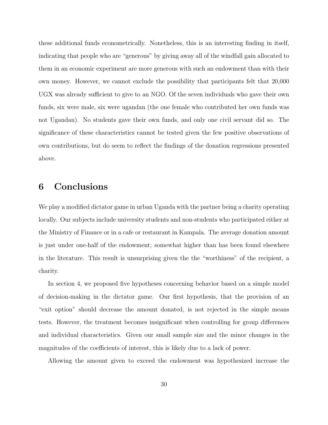these additional funds econometrically. Nonetheless, this is an interesting finding in itself, indicating that people who are "generous" by giving away all of the windfall gain allocated to them in an economic experiment are more generous with such an endowment than with their own money. However, we cannot exclude the possibility that participants felt that 20,000 UGX was already sufficient to give to an NGO. Of the seven individuals who gave their own funds, six were male, six were ugandan (the one female who contributed her own funds was not Ugandan). No students gave their own funds, and only one civil servant did so. The significance of these characteristics cannot be tested given the few positive observations of own contributions, but do seem to reflect the findings of the donation regressions presented above.

## 6 Conclusions

We play a modified dictator game in urban Uganda with the partner being a charity operating locally. Our subjects include university students and non-students who participated either at the Ministry of Finance or in a cafe or restaurant in Kampala. The average donation amount is just under one-half of the endowment; somewhat higher than has been found elsewhere in the literature. This result is unsurprising given the the "worthiness" of the recipient, a charity.

In section 4, we proposed five hypotheses concerning behavior based on a simple model of decision-making in the dictator game. Our first hypothesis, that the provision of an "exit option" should decrease the amount donated, is not rejected in the simple means tests. However, the treatment becomes insignificant when controlling for group differences and individual characteristics. Given our small sample size and the minor changes in the magnitudes of the coefficients of interest, this is likely due to a lack of power.

Allowing the amount given to exceed the endowment was hypothesized increase the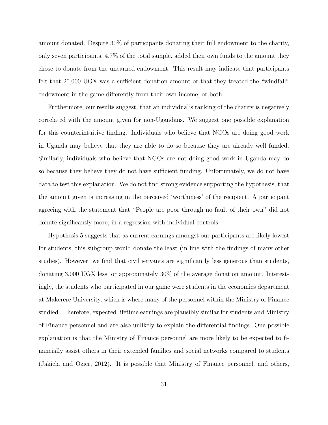amount donated. Despite 30% of participants donating their full endowment to the charity, only seven participants, 4.7% of the total sample, added their own funds to the amount they chose to donate from the unearned endowment. This result may indicate that participants felt that 20,000 UGX was a sufficient donation amount or that they treated the "windfall" endowment in the game differently from their own income, or both.

Furthermore, our results suggest, that an individual's ranking of the charity is negatively correlated with the amount given for non-Ugandans. We suggest one possible explanation for this counterintuitive finding. Individuals who believe that NGOs are doing good work in Uganda may believe that they are able to do so because they are already well funded. Similarly, individuals who believe that NGOs are not doing good work in Uganda may do so because they believe they do not have sufficient funding. Unfortunately, we do not have data to test this explanation. We do not find strong evidence supporting the hypothesis, that the amount given is increasing in the perceived 'worthiness' of the recipient. A participant agreeing with the statement that "People are poor through no fault of their own" did not donate significantly more, in a regression with individual controls.

Hypothesis 5 suggests that as current earnings amongst our participants are likely lowest for students, this subgroup would donate the least (in line with the findings of many other studies). However, we find that civil servants are significantly less generous than students, donating 3,000 UGX less, or approximately 30% of the average donation amount. Interestingly, the students who participated in our game were students in the economics department at Makerere University, which is where many of the personnel within the Ministry of Finance studied. Therefore, expected lifetime earnings are plausibly similar for students and Ministry of Finance personnel and are also unlikely to explain the differential findings. One possible explanation is that the Ministry of Finance personnel are more likely to be expected to financially assist others in their extended families and social networks compared to students (Jakiela and Ozier, 2012). It is possible that Ministry of Finance personnel, and others,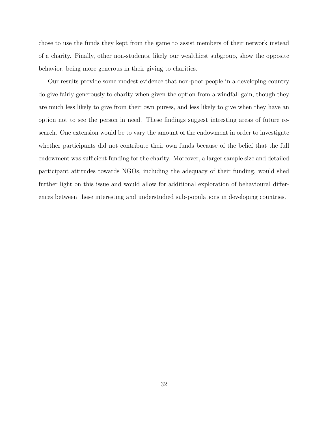chose to use the funds they kept from the game to assist members of their network instead of a charity. Finally, other non-students, likely our wealthiest subgroup, show the opposite behavior, being more generous in their giving to charities.

Our results provide some modest evidence that non-poor people in a developing country do give fairly generously to charity when given the option from a windfall gain, though they are much less likely to give from their own purses, and less likely to give when they have an option not to see the person in need. These findings suggest intresting areas of future research. One extension would be to vary the amount of the endowment in order to investigate whether participants did not contribute their own funds because of the belief that the full endowment was sufficient funding for the charity. Moreover, a larger sample size and detailed participant attitudes towards NGOs, including the adequacy of their funding, would shed further light on this issue and would allow for additional exploration of behavioural differences between these interesting and understudied sub-populations in developing countries.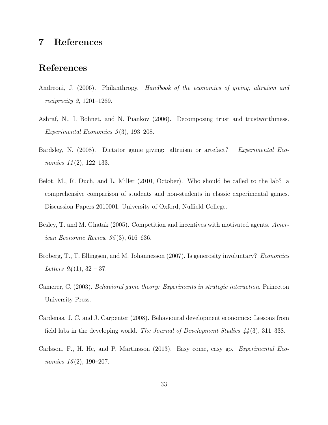## 7 References

## References

- Andreoni, J. (2006). Philanthropy. Handbook of the economics of giving, altruism and reciprocity 2, 1201–1269.
- Ashraf, N., I. Bohnet, and N. Piankov (2006). Decomposing trust and trustworthiness. Experimental Economics  $9(3)$ , 193–208.
- Bardsley, N. (2008). Dictator game giving: altruism or artefact? Experimental Economics  $11(2)$ , 122-133.
- Belot, M., R. Duch, and L. Miller (2010, October). Who should be called to the lab? a comprehensive comparison of students and non-students in classic experimental games. Discussion Papers 2010001, University of Oxford, Nuffield College.
- Besley, T. and M. Ghatak (2005). Competition and incentives with motivated agents. American Economic Review 95 (3), 616–636.
- Broberg, T., T. Ellingsen, and M. Johannesson (2007). Is generosity involuntary? Economics Letters  $94(1), 32-37.$
- Camerer, C. (2003). Behavioral game theory: Experiments in strategic interaction. Princeton University Press.
- Cardenas, J. C. and J. Carpenter (2008). Behavioural development economics: Lessons from field labs in the developing world. The Journal of Development Studies  $44(3)$ , 311–338.
- Carlsson, F., H. He, and P. Martinsson (2013). Easy come, easy go. Experimental Economics  $16(2)$ , 190-207.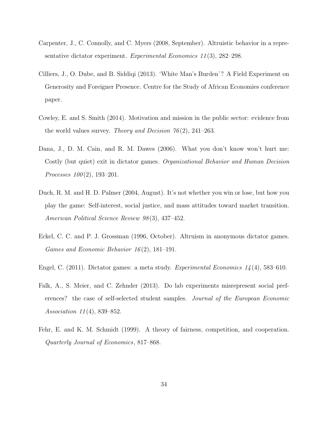- Carpenter, J., C. Connolly, and C. Myers (2008, September). Altruistic behavior in a representative dictator experiment. Experimental Economics  $11(3)$ , 282–298.
- Cilliers, J., O. Dube, and B. Siddiqi (2013). 'White Man's Burden'? A Field Experiment on Generosity and Foreigner Presence. Centre for the Study of African Economies conference paper.
- Cowley, E. and S. Smith (2014). Motivation and mission in the public sector: evidence from the world values survey. Theory and Decision  $76(2)$ , 241–263.
- Dana, J., D. M. Cain, and R. M. Dawes (2006). What you don't know won't hurt me: Costly (but quiet) exit in dictator games. Organizational Behavior and Human Decision *Processes*  $100(2)$ , 193-201.
- Duch, R. M. and H. D. Palmer (2004, August). It's not whether you win or lose, but how you play the game: Self-interest, social justice, and mass attitudes toward market transition. American Political Science Review 98 (3), 437–452.
- Eckel, C. C. and P. J. Grossman (1996, October). Altruism in anonymous dictator games. Games and Economic Behavior 16 (2), 181–191.
- Engel, C. (2011). Dictator games: a meta study. Experimental Economics  $1/4(4)$ , 583–610.
- Falk, A., S. Meier, and C. Zehnder (2013). Do lab experiments misrepresent social preferences? the case of self-selected student samples. Journal of the European Economic Association 11 (4), 839–852.
- Fehr, E. and K. M. Schmidt (1999). A theory of fairness, competition, and cooperation. Quarterly Journal of Economics, 817–868.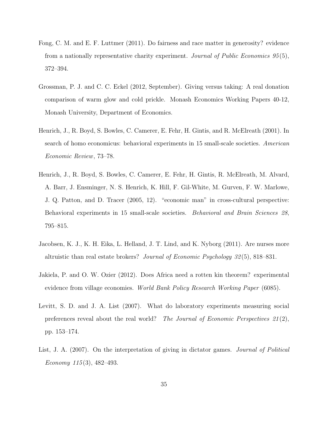- Fong, C. M. and E. F. Luttmer (2011). Do fairness and race matter in generosity? evidence from a nationally representative charity experiment. Journal of Public Economics  $95(5)$ , 372–394.
- Grossman, P. J. and C. C. Eckel (2012, September). Giving versus taking: A real donation comparison of warm glow and cold prickle. Monash Economics Working Papers 40-12, Monash University, Department of Economics.
- Henrich, J., R. Boyd, S. Bowles, C. Camerer, E. Fehr, H. Gintis, and R. McElreath (2001). In search of homo economicus: behavioral experiments in 15 small-scale societies. American Economic Review, 73–78.
- Henrich, J., R. Boyd, S. Bowles, C. Camerer, E. Fehr, H. Gintis, R. McElreath, M. Alvard, A. Barr, J. Ensminger, N. S. Henrich, K. Hill, F. Gil-White, M. Gurven, F. W. Marlowe, J. Q. Patton, and D. Tracer (2005, 12). "economic man" in cross-cultural perspective: Behavioral experiments in 15 small-scale societies. Behavioral and Brain Sciences 28, 795–815.
- Jacobsen, K. J., K. H. Eika, L. Helland, J. T. Lind, and K. Nyborg (2011). Are nurses more altruistic than real estate brokers? Journal of Economic Psychology 32 (5), 818–831.
- Jakiela, P. and O. W. Ozier (2012). Does Africa need a rotten kin theorem? experimental evidence from village economies. World Bank Policy Research Working Paper (6085).
- Levitt, S. D. and J. A. List (2007). What do laboratory experiments measuring social preferences reveal about the real world? The Journal of Economic Perspectives  $21(2)$ , pp. 153–174.
- List, J. A. (2007). On the interpretation of giving in dictator games. *Journal of Political* Economy  $115(3)$ , 482–493.